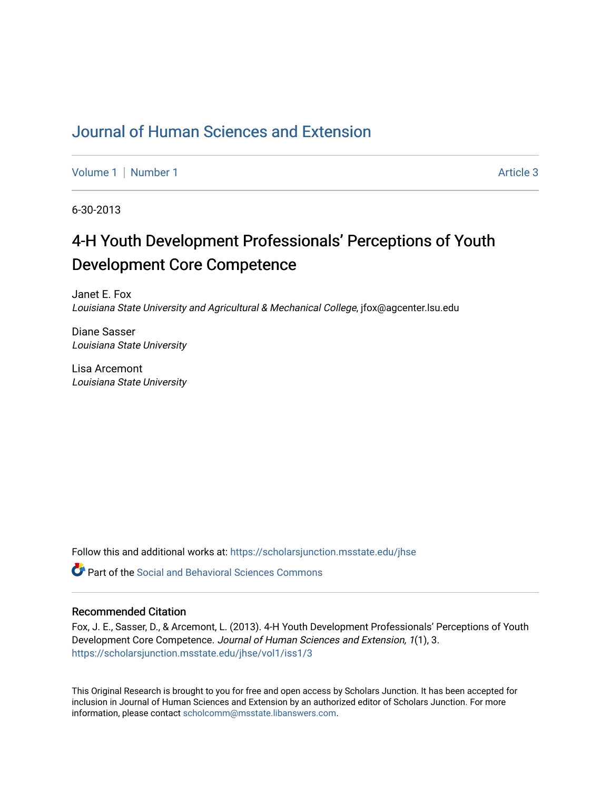# [Journal of Human Sciences and Extension](https://scholarsjunction.msstate.edu/jhse)

[Volume 1](https://scholarsjunction.msstate.edu/jhse/vol1) | [Number 1](https://scholarsjunction.msstate.edu/jhse/vol1/iss1) Article 3

6-30-2013

# 4-H Youth Development Professionals' Perceptions of Youth Development Core Competence

Janet E. Fox Louisiana State University and Agricultural & Mechanical College, jfox@agcenter.lsu.edu

Diane Sasser Louisiana State University

Lisa Arcemont Louisiana State University

Follow this and additional works at: [https://scholarsjunction.msstate.edu/jhse](https://scholarsjunction.msstate.edu/jhse?utm_source=scholarsjunction.msstate.edu%2Fjhse%2Fvol1%2Fiss1%2F3&utm_medium=PDF&utm_campaign=PDFCoverPages)

 $\bullet$  Part of the Social and Behavioral Sciences Commons

#### Recommended Citation

Fox, J. E., Sasser, D., & Arcemont, L. (2013). 4-H Youth Development Professionals' Perceptions of Youth Development Core Competence. Journal of Human Sciences and Extension, 1(1), 3. [https://scholarsjunction.msstate.edu/jhse/vol1/iss1/3](https://scholarsjunction.msstate.edu/jhse/vol1/iss1/3?utm_source=scholarsjunction.msstate.edu%2Fjhse%2Fvol1%2Fiss1%2F3&utm_medium=PDF&utm_campaign=PDFCoverPages)

This Original Research is brought to you for free and open access by Scholars Junction. It has been accepted for inclusion in Journal of Human Sciences and Extension by an authorized editor of Scholars Junction. For more information, please contact [scholcomm@msstate.libanswers.com](mailto:scholcomm@msstate.libanswers.com).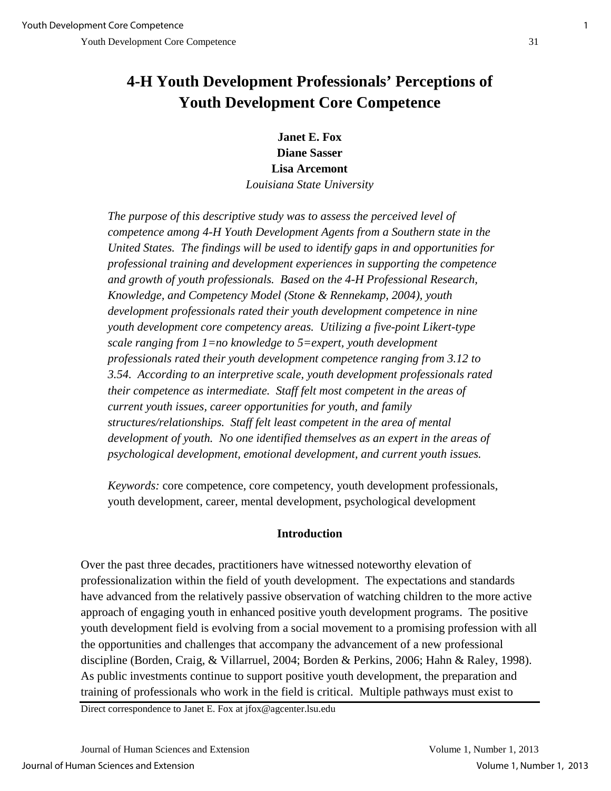# **4-H Youth Development Professionals' Perceptions of Youth Development Core Competence**

**Janet E. Fox Diane Sasser Lisa Arcemont**

*Louisiana State University*

*The purpose of this descriptive study was to assess the perceived level of competence among 4-H Youth Development Agents from a Southern state in the United States. The findings will be used to identify gaps in and opportunities for professional training and development experiences in supporting the competence and growth of youth professionals. Based on the 4-H Professional Research, Knowledge, and Competency Model (Stone & Rennekamp, 2004), youth development professionals rated their youth development competence in nine youth development core competency areas. Utilizing a five-point Likert-type scale ranging from 1=no knowledge to 5=expert, youth development professionals rated their youth development competence ranging from 3.12 to 3.54. According to an interpretive scale, youth development professionals rated their competence as intermediate. Staff felt most competent in the areas of current youth issues, career opportunities for youth, and family structures/relationships. Staff felt least competent in the area of mental*  development of youth. No one identified themselves as an expert in the areas of *psychological development, emotional development, and current youth issues.* 

*Keywords:* core competence, core competency, youth development professionals, youth development, career, mental development, psychological development

## **Introduction**

Over the past three decades, practitioners have witnessed noteworthy elevation of professionalization within the field of youth development. The expectations and standards have advanced from the relatively passive observation of watching children to the more active approach of engaging youth in enhanced positive youth development programs. The positive youth development field is evolving from a social movement to a promising profession with all the opportunities and challenges that accompany the advancement of a new professional discipline (Borden, Craig, & Villarruel, 2004; Borden & Perkins, 2006; Hahn & Raley, 1998). As public investments continue to support positive youth development, the preparation and training of professionals who work in the field is critical. Multiple pathways must exist to

Direct correspondence to Janet E. Fox at jfox@agcenter.lsu.edu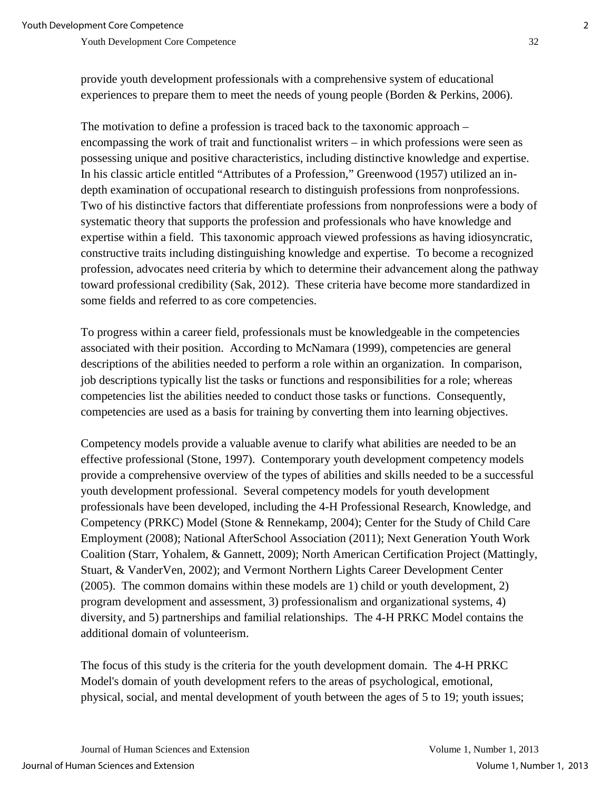provide youth development professionals with a comprehensive system of educational experiences to prepare them to meet the needs of young people (Borden & Perkins, 2006).

The motivation to define a profession is traced back to the taxonomic approach – encompassing the work of trait and functionalist writers – in which professions were seen as possessing unique and positive characteristics, including distinctive knowledge and expertise. In his classic article entitled "Attributes of a Profession," Greenwood (1957) utilized an indepth examination of occupational research to distinguish professions from nonprofessions. Two of his distinctive factors that differentiate professions from nonprofessions were a body of systematic theory that supports the profession and professionals who have knowledge and expertise within a field. This taxonomic approach viewed professions as having idiosyncratic, constructive traits including distinguishing knowledge and expertise. To become a recognized profession, advocates need criteria by which to determine their advancement along the pathway toward professional credibility (Sak, 2012). These criteria have become more standardized in some fields and referred to as core competencies.

To progress within a career field, professionals must be knowledgeable in the competencies associated with their position. According to McNamara (1999), competencies are general descriptions of the abilities needed to perform a role within an organization. In comparison, job descriptions typically list the tasks or functions and responsibilities for a role; whereas competencies list the abilities needed to conduct those tasks or functions. Consequently, competencies are used as a basis for training by converting them into learning objectives.

Competency models provide a valuable avenue to clarify what abilities are needed to be an effective professional (Stone, 1997). Contemporary youth development competency models provide a comprehensive overview of the types of abilities and skills needed to be a successful youth development professional. Several competency models for youth development professionals have been developed, including the 4-H Professional Research, Knowledge, and Competency (PRKC) Model (Stone & Rennekamp, 2004); Center for the Study of Child Care Employment (2008); National AfterSchool Association (2011); Next Generation Youth Work Coalition (Starr, Yohalem, & Gannett, 2009); North American Certification Project (Mattingly, Stuart, & VanderVen, 2002); and Vermont Northern Lights Career Development Center (2005). The common domains within these models are 1) child or youth development, 2) program development and assessment, 3) professionalism and organizational systems, 4) diversity, and 5) partnerships and familial relationships. The 4-H PRKC Model contains the additional domain of volunteerism.

The focus of this study is the criteria for the youth development domain. The 4-H PRKC Model's domain of youth development refers to the areas of psychological, emotional, physical, social, and mental development of youth between the ages of 5 to 19; youth issues;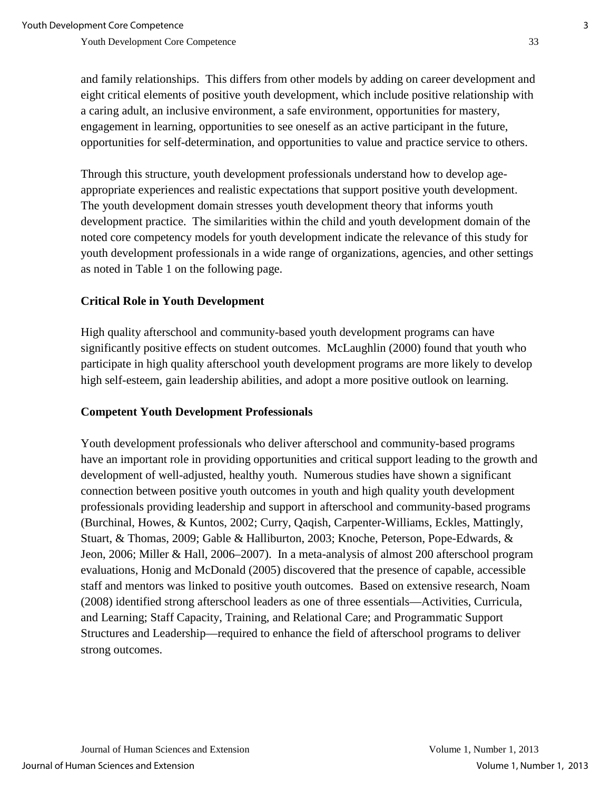and family relationships. This differs from other models by adding on career development and eight critical elements of positive youth development, which include positive relationship with a caring adult, an inclusive environment, a safe environment, opportunities for mastery, engagement in learning, opportunities to see oneself as an active participant in the future, opportunities for self-determination, and opportunities to value and practice service to others.

Through this structure, youth development professionals understand how to develop ageappropriate experiences and realistic expectations that support positive youth development. The youth development domain stresses youth development theory that informs youth development practice. The similarities within the child and youth development domain of the noted core competency models for youth development indicate the relevance of this study for youth development professionals in a wide range of organizations, agencies, and other settings as noted in Table 1 on the following page.

## **Critical Role in Youth Development**

High quality afterschool and community-based youth development programs can have significantly positive effects on student outcomes. McLaughlin (2000) found that youth who participate in high quality afterschool youth development programs are more likely to develop high self-esteem, gain leadership abilities, and adopt a more positive outlook on learning.

## **Competent Youth Development Professionals**

Youth development professionals who deliver afterschool and community-based programs have an important role in providing opportunities and critical support leading to the growth and development of well-adjusted, healthy youth. Numerous studies have shown a significant connection between positive youth outcomes in youth and high quality youth development professionals providing leadership and support in afterschool and community-based programs (Burchinal, Howes, & Kuntos, 2002; Curry, Qaqish, Carpenter-Williams, Eckles, Mattingly, Stuart, & Thomas, 2009; Gable & Halliburton, 2003; Knoche, Peterson, Pope-Edwards, & Jeon, 2006; Miller & Hall, 2006–2007). In a meta-analysis of almost 200 afterschool program evaluations, Honig and McDonald (2005) discovered that the presence of capable, accessible staff and mentors was linked to positive youth outcomes. Based on extensive research, Noam (2008) identified strong afterschool leaders as one of three essentials—Activities, Curricula, and Learning; Staff Capacity, Training, and Relational Care; and Programmatic Support Structures and Leadership—required to enhance the field of afterschool programs to deliver strong outcomes.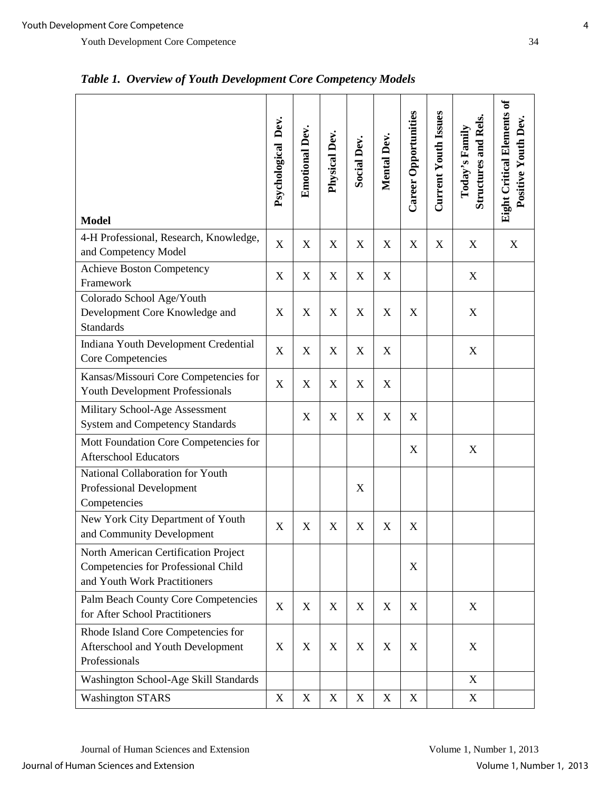| <b>Model</b>                                                                                                | Psychological Dev. | <b>Emotional Dev.</b>     | Physical Dev.             | <b>Social Dev.</b>        | Mental Dev.               | <b>Career Opportunities</b> | Current Youth Issues      | <b>Structures and Rels.</b><br>Today's Family | <b>Eight Critical Elements of</b><br>Positive Youth Dev. |
|-------------------------------------------------------------------------------------------------------------|--------------------|---------------------------|---------------------------|---------------------------|---------------------------|-----------------------------|---------------------------|-----------------------------------------------|----------------------------------------------------------|
| 4-H Professional, Research, Knowledge,<br>and Competency Model                                              | X                  | X                         | $\mathbf X$               | $\mathbf X$               | $\boldsymbol{\mathrm{X}}$ | X                           | $\boldsymbol{\mathrm{X}}$ | $\boldsymbol{X}$                              | X                                                        |
| <b>Achieve Boston Competency</b><br>Framework                                                               | X                  | X                         | $\boldsymbol{X}$          | $\boldsymbol{\mathrm{X}}$ | $\boldsymbol{\mathrm{X}}$ |                             |                           | X                                             |                                                          |
| Colorado School Age/Youth<br>Development Core Knowledge and<br><b>Standards</b>                             | X                  | $\boldsymbol{\mathrm{X}}$ | X                         | $\boldsymbol{\mathrm{X}}$ | X                         | X                           |                           | $\boldsymbol{X}$                              |                                                          |
| Indiana Youth Development Credential<br>Core Competencies                                                   | X                  | X                         | $\boldsymbol{\mathrm{X}}$ | $\mathbf X$               | X                         |                             |                           | X                                             |                                                          |
| Kansas/Missouri Core Competencies for<br><b>Youth Development Professionals</b>                             | X                  | X                         | X                         | $\boldsymbol{\mathrm{X}}$ | $\boldsymbol{\mathrm{X}}$ |                             |                           |                                               |                                                          |
| Military School-Age Assessment<br><b>System and Competency Standards</b>                                    |                    | X                         | X                         | $\mathbf X$               | $\boldsymbol{\mathrm{X}}$ | X                           |                           |                                               |                                                          |
| Mott Foundation Core Competencies for<br><b>Afterschool Educators</b>                                       |                    |                           |                           |                           |                           | X                           |                           | X                                             |                                                          |
| National Collaboration for Youth<br>Professional Development<br>Competencies                                |                    |                           |                           | X                         |                           |                             |                           |                                               |                                                          |
| New York City Department of Youth<br>and Community Development                                              | X                  | X                         | $\mathbf X$               | $\mathbf X$               | $\boldsymbol{\mathrm{X}}$ | X                           |                           |                                               |                                                          |
| North American Certification Project<br>Competencies for Professional Child<br>and Youth Work Practitioners |                    |                           |                           |                           |                           | X                           |                           |                                               |                                                          |
| Palm Beach County Core Competencies<br>for After School Practitioners                                       | X                  | X                         | X                         | $\mathbf X$               | X                         | X                           |                           | X                                             |                                                          |
| Rhode Island Core Competencies for<br>Afterschool and Youth Development<br>Professionals                    | X                  | X                         | $\boldsymbol{\mathrm{X}}$ | X                         | $\boldsymbol{\mathrm{X}}$ | X                           |                           | X                                             |                                                          |
| Washington School-Age Skill Standards                                                                       |                    |                           |                           |                           |                           |                             |                           | X                                             |                                                          |
| <b>Washington STARS</b>                                                                                     | X                  | X                         | $\mathbf X$               | X                         | X                         | X                           |                           | X                                             |                                                          |

*Table 1. Overview of Youth Development Core Competency Models*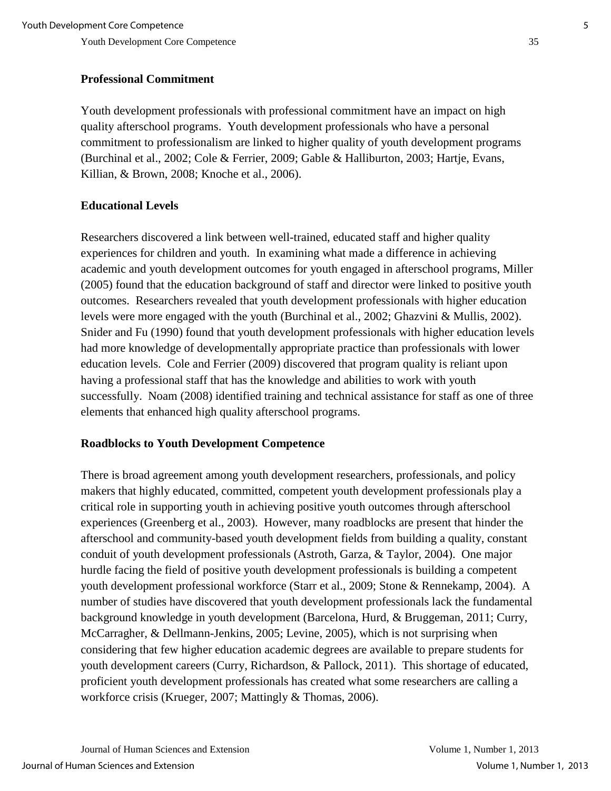# **Professional Commitment**

Youth development professionals with professional commitment have an impact on high quality afterschool programs. Youth development professionals who have a personal commitment to professionalism are linked to higher quality of youth development programs (Burchinal et al., 2002; Cole & Ferrier, 2009; Gable & Halliburton, 2003; Hartje, Evans, Killian, & Brown, 2008; Knoche et al., 2006).

# **Educational Levels**

Researchers discovered a link between well-trained, educated staff and higher quality experiences for children and youth. In examining what made a difference in achieving academic and youth development outcomes for youth engaged in afterschool programs, Miller (2005) found that the education background of staff and director were linked to positive youth outcomes. Researchers revealed that youth development professionals with higher education levels were more engaged with the youth (Burchinal et al., 2002; Ghazvini & Mullis, 2002). Snider and Fu (1990) found that youth development professionals with higher education levels had more knowledge of developmentally appropriate practice than professionals with lower education levels. Cole and Ferrier (2009) discovered that program quality is reliant upon having a professional staff that has the knowledge and abilities to work with youth successfully. Noam (2008) identified training and technical assistance for staff as one of three elements that enhanced high quality afterschool programs.

# **Roadblocks to Youth Development Competence**

There is broad agreement among youth development researchers, professionals, and policy makers that highly educated, committed, competent youth development professionals play a critical role in supporting youth in achieving positive youth outcomes through afterschool experiences (Greenberg et al., 2003). However, many roadblocks are present that hinder the afterschool and community-based youth development fields from building a quality, constant conduit of youth development professionals (Astroth, Garza, & Taylor, 2004). One major hurdle facing the field of positive youth development professionals is building a competent youth development professional workforce (Starr et al., 2009; Stone & Rennekamp, 2004). A number of studies have discovered that youth development professionals lack the fundamental background knowledge in youth development (Barcelona, Hurd, & Bruggeman, 2011; Curry, McCarragher, & Dellmann-Jenkins, 2005; Levine, 2005), which is not surprising when considering that few higher education academic degrees are available to prepare students for youth development careers (Curry, Richardson, & Pallock, 2011). This shortage of educated, proficient youth development professionals has created what some researchers are calling a workforce crisis (Krueger, 2007; Mattingly & Thomas, 2006).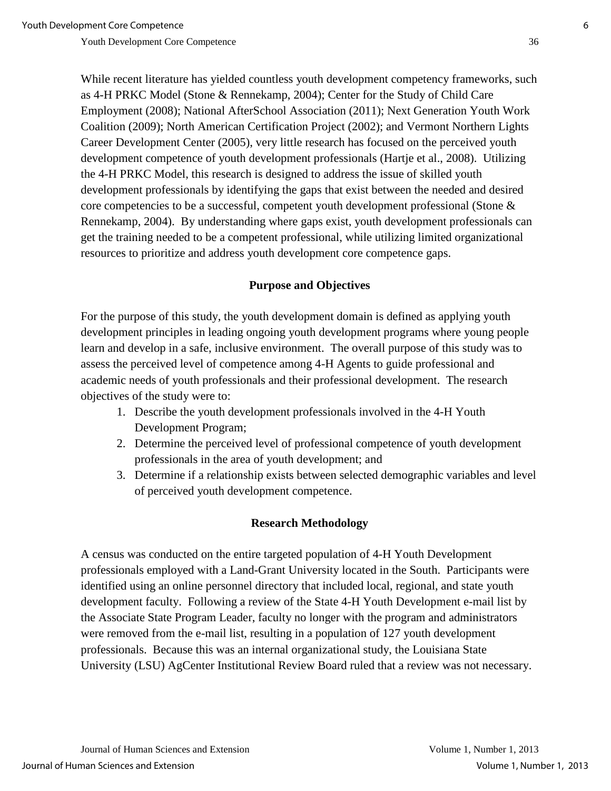While recent literature has yielded countless youth development competency frameworks, such as 4-H PRKC Model (Stone & Rennekamp, 2004); Center for the Study of Child Care Employment (2008); National AfterSchool Association (2011); Next Generation Youth Work Coalition (2009); North American Certification Project (2002); and Vermont Northern Lights Career Development Center (2005), very little research has focused on the perceived youth development competence of youth development professionals (Hartje et al., 2008). Utilizing the 4-H PRKC Model, this research is designed to address the issue of skilled youth development professionals by identifying the gaps that exist between the needed and desired core competencies to be a successful, competent youth development professional (Stone & Rennekamp, 2004). By understanding where gaps exist, youth development professionals can get the training needed to be a competent professional, while utilizing limited organizational resources to prioritize and address youth development core competence gaps.

## **Purpose and Objectives**

For the purpose of this study, the youth development domain is defined as applying youth development principles in leading ongoing youth development programs where young people learn and develop in a safe, inclusive environment. The overall purpose of this study was to assess the perceived level of competence among 4-H Agents to guide professional and academic needs of youth professionals and their professional development. The research objectives of the study were to:

- 1. Describe the youth development professionals involved in the 4-H Youth Development Program;
- 2. Determine the perceived level of professional competence of youth development professionals in the area of youth development; and
- 3. Determine if a relationship exists between selected demographic variables and level of perceived youth development competence.

## **Research Methodology**

A census was conducted on the entire targeted population of 4-H Youth Development professionals employed with a Land-Grant University located in the South. Participants were identified using an online personnel directory that included local, regional, and state youth development faculty. Following a review of the State 4-H Youth Development e-mail list by the Associate State Program Leader, faculty no longer with the program and administrators were removed from the e-mail list, resulting in a population of 127 youth development professionals. Because this was an internal organizational study, the Louisiana State University (LSU) AgCenter Institutional Review Board ruled that a review was not necessary.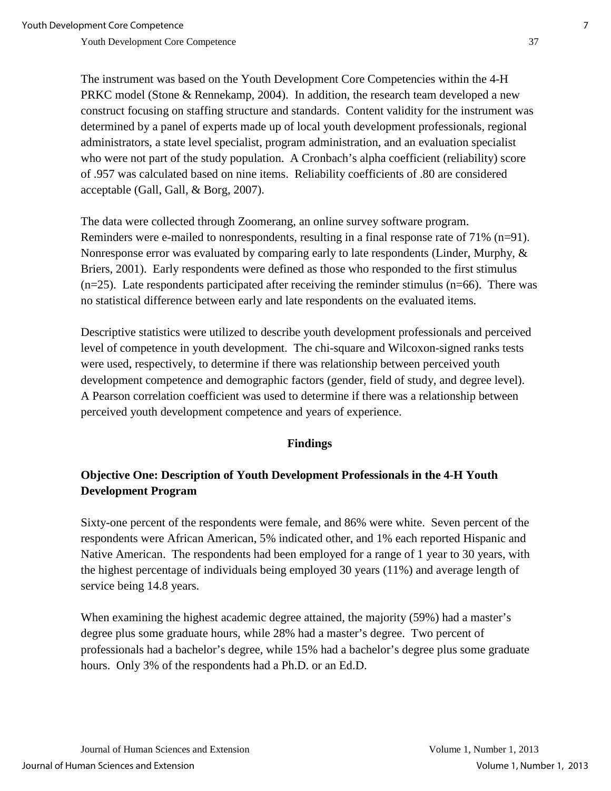The instrument was based on the Youth Development Core Competencies within the 4-H PRKC model (Stone & Rennekamp, 2004). In addition, the research team developed a new construct focusing on staffing structure and standards. Content validity for the instrument was determined by a panel of experts made up of local youth development professionals, regional administrators, a state level specialist, program administration, and an evaluation specialist who were not part of the study population. A Cronbach's alpha coefficient (reliability) score of .957 was calculated based on nine items. Reliability coefficients of .80 are considered acceptable (Gall, Gall, & Borg, 2007).

The data were collected through Zoomerang, an online survey software program. Reminders were e-mailed to nonrespondents, resulting in a final response rate of 71% (n=91). Nonresponse error was evaluated by comparing early to late respondents (Linder, Murphy, & Briers, 2001). Early respondents were defined as those who responded to the first stimulus (n=25). Late respondents participated after receiving the reminder stimulus (n=66). There was no statistical difference between early and late respondents on the evaluated items.

Descriptive statistics were utilized to describe youth development professionals and perceived level of competence in youth development. The chi-square and Wilcoxon-signed ranks tests were used, respectively, to determine if there was relationship between perceived youth development competence and demographic factors (gender, field of study, and degree level). A Pearson correlation coefficient was used to determine if there was a relationship between perceived youth development competence and years of experience.

## **Findings**

# **Objective One: Description of Youth Development Professionals in the 4-H Youth Development Program**

Sixty-one percent of the respondents were female, and 86% were white. Seven percent of the respondents were African American, 5% indicated other, and 1% each reported Hispanic and Native American. The respondents had been employed for a range of 1 year to 30 years, with the highest percentage of individuals being employed 30 years (11%) and average length of service being 14.8 years.

When examining the highest academic degree attained, the majority (59%) had a master's degree plus some graduate hours, while 28% had a master's degree. Two percent of professionals had a bachelor's degree, while 15% had a bachelor's degree plus some graduate hours. Only 3% of the respondents had a Ph.D. or an Ed.D.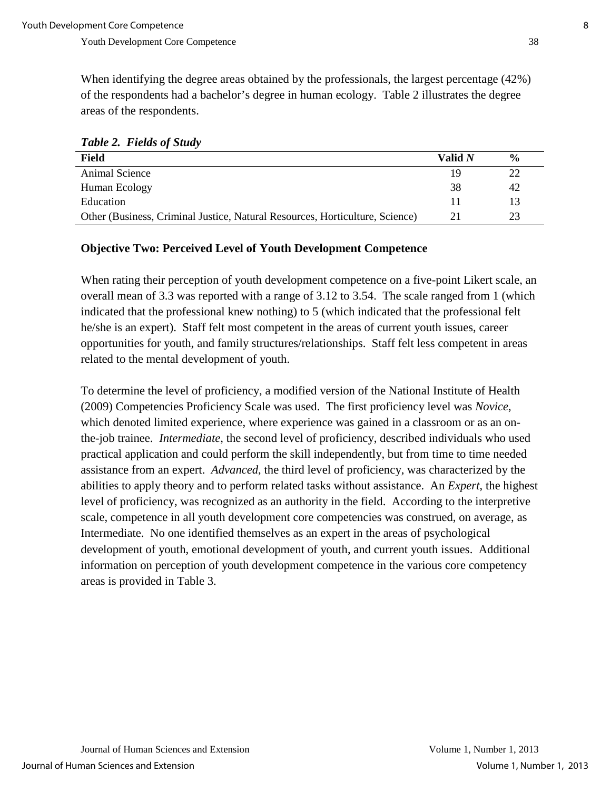When identifying the degree areas obtained by the professionals, the largest percentage (42%) of the respondents had a bachelor's degree in human ecology. Table 2 illustrates the degree areas of the respondents.

| <b>Field</b>                                                                 | Valid $N$ | $\frac{0}{0}$ |
|------------------------------------------------------------------------------|-----------|---------------|
| Animal Science                                                               | 19        | 22            |
| Human Ecology                                                                | 38        | 42            |
| Education                                                                    | 11        | 13            |
| Other (Business, Criminal Justice, Natural Resources, Horticulture, Science) | 21        | 23            |

## **Objective Two: Perceived Level of Youth Development Competence**

When rating their perception of youth development competence on a five-point Likert scale, an overall mean of 3.3 was reported with a range of 3.12 to 3.54. The scale ranged from 1 (which indicated that the professional knew nothing) to 5 (which indicated that the professional felt he/she is an expert). Staff felt most competent in the areas of current youth issues, career opportunities for youth, and family structures/relationships. Staff felt less competent in areas related to the mental development of youth.

To determine the level of proficiency, a modified version of the National Institute of Health (2009) Competencies Proficiency Scale was used. The first proficiency level was *Novice*, which denoted limited experience, where experience was gained in a classroom or as an onthe-job trainee. *Intermediate*, the second level of proficiency, described individuals who used practical application and could perform the skill independently, but from time to time needed assistance from an expert. *Advanced*, the third level of proficiency, was characterized by the abilities to apply theory and to perform related tasks without assistance. An *Expert*, the highest level of proficiency, was recognized as an authority in the field. According to the interpretive scale, competence in all youth development core competencies was construed, on average, as Intermediate. No one identified themselves as an expert in the areas of psychological development of youth, emotional development of youth, and current youth issues. Additional information on perception of youth development competence in the various core competency areas is provided in Table 3.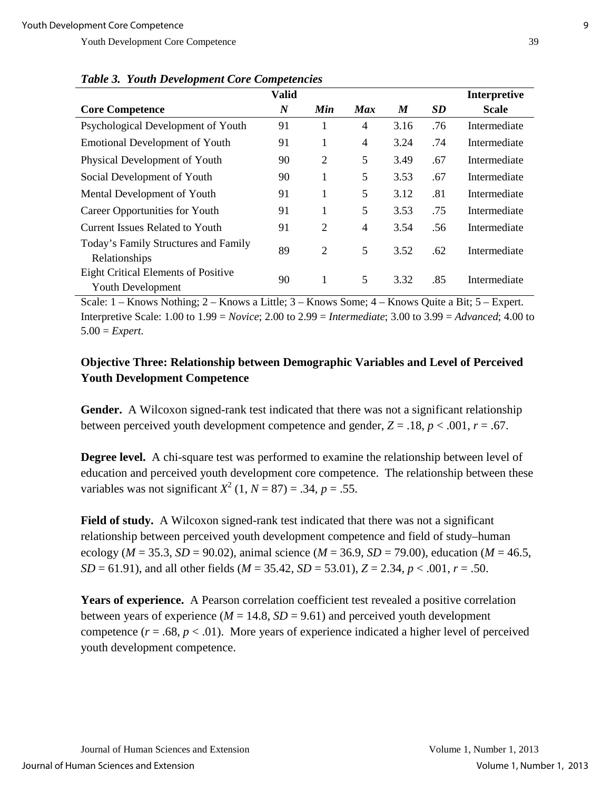|                                                                        | <b>Valid</b>     |                |            |      |     | <b>Interpretive</b> |
|------------------------------------------------------------------------|------------------|----------------|------------|------|-----|---------------------|
| <b>Core Competence</b>                                                 | $\boldsymbol{N}$ | Min            | <b>Max</b> | M    | SD  | <b>Scale</b>        |
| Psychological Development of Youth                                     | 91               | 1              | 4          | 3.16 | .76 | Intermediate        |
| <b>Emotional Development of Youth</b>                                  | 91               | 1              | 4          | 3.24 | .74 | Intermediate        |
| Physical Development of Youth                                          | 90               | 2              | 5          | 3.49 | .67 | Intermediate        |
| Social Development of Youth                                            | 90               | 1              | 5          | 3.53 | .67 | Intermediate        |
| Mental Development of Youth                                            | 91               | 1              | 5          | 3.12 | .81 | Intermediate        |
| Career Opportunities for Youth                                         | 91               | 1              | 5          | 3.53 | .75 | Intermediate        |
| <b>Current Issues Related to Youth</b>                                 | 91               | $\overline{2}$ | 4          | 3.54 | .56 | Intermediate        |
| Today's Family Structures and Family<br>Relationships                  | 89               | $\overline{2}$ | 5          | 3.52 | .62 | Intermediate        |
| <b>Eight Critical Elements of Positive</b><br><b>Youth Development</b> | 90               | 1              | 5          | 3.32 | .85 | Intermediate        |

*Table 3.**Youth Development Core Competencies*

Scale: 1 – Knows Nothing; 2 – Knows a Little; 3 – Knows Some; 4 – Knows Quite a Bit; 5 – Expert. Interpretive Scale: 1.00 to 1.99 = *Novice*; 2.00 to 2.99 = *Intermediate*; 3.00 to 3.99 = *Advanced*; 4.00 to 5.00 = *Expert.*

## **Objective Three: Relationship between Demographic Variables and Level of Perceived Youth Development Competence**

Gender. A Wilcoxon signed-rank test indicated that there was not a significant relationship between perceived youth development competence and gender,  $Z = .18$ ,  $p < .001$ ,  $r = .67$ .

**Degree level.** A chi-square test was performed to examine the relationship between level of education and perceived youth development core competence. The relationship between these variables was not significant  $X^2$  (1,  $N = 87$ ) = .34,  $p = .55$ .

**Field of study.** A Wilcoxon signed-rank test indicated that there was not a significant relationship between perceived youth development competence and field of study–human ecology ( $M = 35.3$ ,  $SD = 90.02$ ), animal science ( $M = 36.9$ ,  $SD = 79.00$ ), education ( $M = 46.5$ , *SD* = 61.91), and all other fields (*M* = 35.42, *SD* = 53.01), *Z* = 2.34, *p* < .001, *r* = .50.

**Years of experience.** A Pearson correlation coefficient test revealed a positive correlation between years of experience ( $M = 14.8$ ,  $SD = 9.61$ ) and perceived youth development competence  $(r = .68, p < .01)$ . More years of experience indicated a higher level of perceived youth development competence.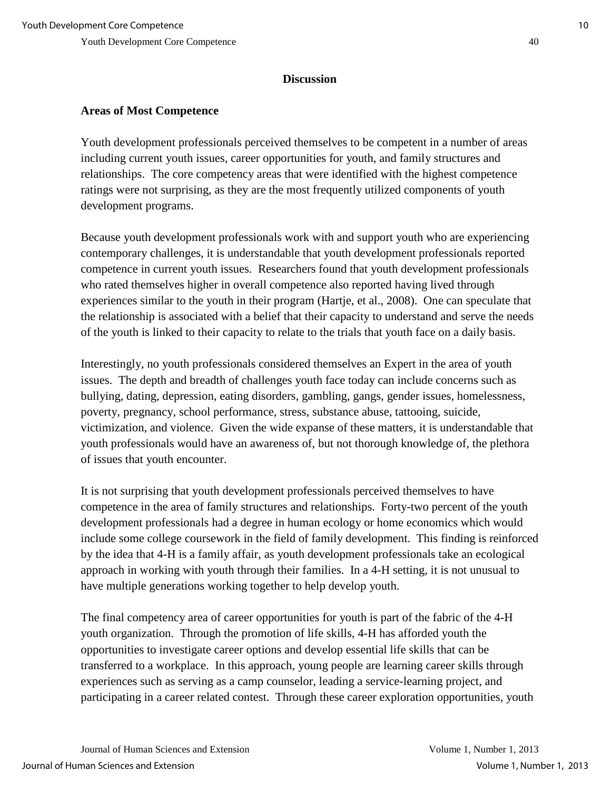#### **Discussion**

## **Areas of Most Competence**

Youth development professionals perceived themselves to be competent in a number of areas including current youth issues, career opportunities for youth, and family structures and relationships. The core competency areas that were identified with the highest competence ratings were not surprising, as they are the most frequently utilized components of youth development programs.

Because youth development professionals work with and support youth who are experiencing contemporary challenges, it is understandable that youth development professionals reported competence in current youth issues. Researchers found that youth development professionals who rated themselves higher in overall competence also reported having lived through experiences similar to the youth in their program (Hartje, et al., 2008). One can speculate that the relationship is associated with a belief that their capacity to understand and serve the needs of the youth is linked to their capacity to relate to the trials that youth face on a daily basis.

Interestingly, no youth professionals considered themselves an Expert in the area of youth issues. The depth and breadth of challenges youth face today can include concerns such as bullying, dating, depression, eating disorders, gambling, gangs, gender issues, homelessness, poverty, pregnancy, school performance, stress, substance abuse, tattooing, suicide, victimization, and violence. Given the wide expanse of these matters, it is understandable that youth professionals would have an awareness of, but not thorough knowledge of, the plethora of issues that youth encounter.

It is not surprising that youth development professionals perceived themselves to have competence in the area of family structures and relationships. Forty-two percent of the youth development professionals had a degree in human ecology or home economics which would include some college coursework in the field of family development. This finding is reinforced by the idea that 4-H is a family affair, as youth development professionals take an ecological approach in working with youth through their families. In a 4-H setting, it is not unusual to have multiple generations working together to help develop youth.

The final competency area of career opportunities for youth is part of the fabric of the 4-H youth organization. Through the promotion of life skills, 4-H has afforded youth the opportunities to investigate career options and develop essential life skills that can be transferred to a workplace. In this approach, young people are learning career skills through experiences such as serving as a camp counselor, leading a service-learning project, and participating in a career related contest. Through these career exploration opportunities, youth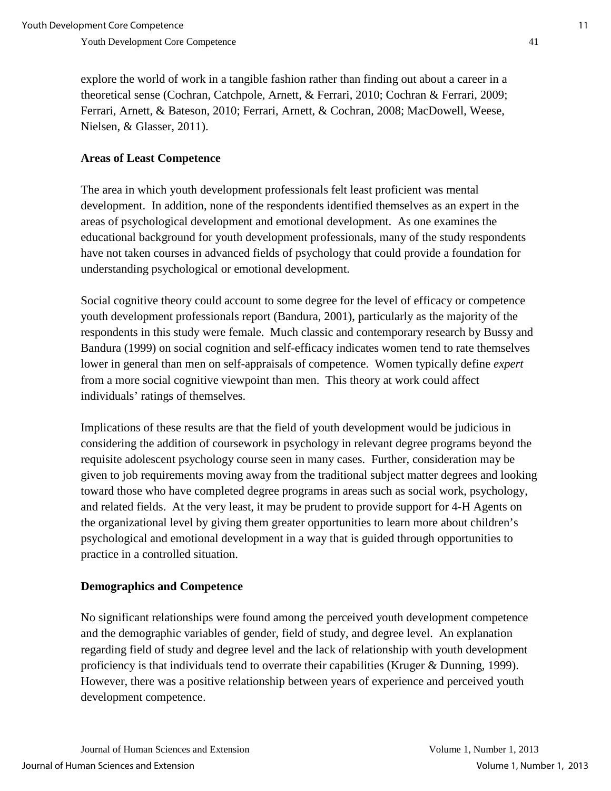explore the world of work in a tangible fashion rather than finding out about a career in a theoretical sense (Cochran, Catchpole, Arnett, & Ferrari, 2010; Cochran & Ferrari, 2009; Ferrari, Arnett, & Bateson, 2010; Ferrari, Arnett, & Cochran, 2008; MacDowell, Weese, Nielsen, & Glasser, 2011).

## **Areas of Least Competence**

The area in which youth development professionals felt least proficient was mental development. In addition, none of the respondents identified themselves as an expert in the areas of psychological development and emotional development. As one examines the educational background for youth development professionals, many of the study respondents have not taken courses in advanced fields of psychology that could provide a foundation for understanding psychological or emotional development.

Social cognitive theory could account to some degree for the level of efficacy or competence youth development professionals report (Bandura, 2001), particularly as the majority of the respondents in this study were female. Much classic and contemporary research by Bussy and Bandura (1999) on social cognition and self-efficacy indicates women tend to rate themselves lower in general than men on self-appraisals of competence. Women typically define *expert* from a more social cognitive viewpoint than men. This theory at work could affect individuals' ratings of themselves.

Implications of these results are that the field of youth development would be judicious in considering the addition of coursework in psychology in relevant degree programs beyond the requisite adolescent psychology course seen in many cases. Further, consideration may be given to job requirements moving away from the traditional subject matter degrees and looking toward those who have completed degree programs in areas such as social work, psychology, and related fields. At the very least, it may be prudent to provide support for 4-H Agents on the organizational level by giving them greater opportunities to learn more about children's psychological and emotional development in a way that is guided through opportunities to practice in a controlled situation.

# **Demographics and Competence**

No significant relationships were found among the perceived youth development competence and the demographic variables of gender, field of study, and degree level. An explanation regarding field of study and degree level and the lack of relationship with youth development proficiency is that individuals tend to overrate their capabilities (Kruger & Dunning, 1999). However, there was a positive relationship between years of experience and perceived youth development competence.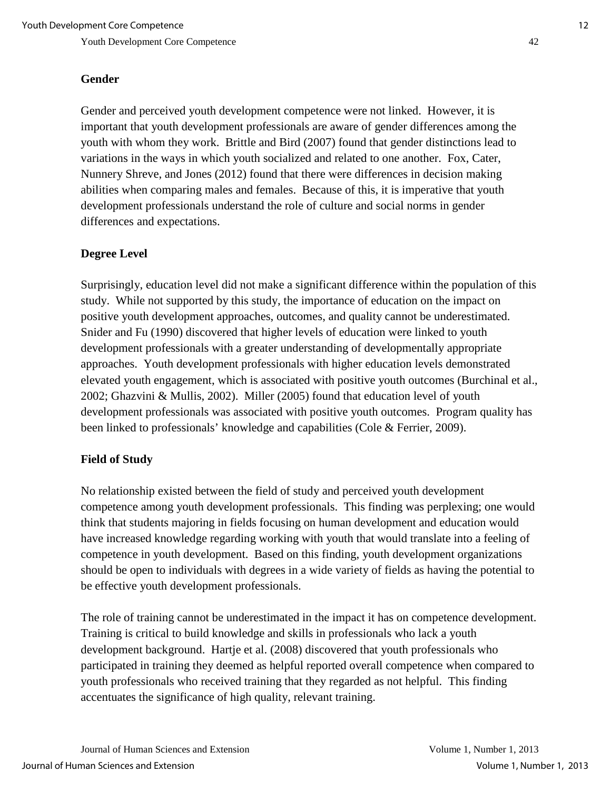#### **Gender**

Gender and perceived youth development competence were not linked. However, it is important that youth development professionals are aware of gender differences among the youth with whom they work. Brittle and Bird (2007) found that gender distinctions lead to variations in the ways in which youth socialized and related to one another. Fox, Cater, Nunnery Shreve, and Jones (2012) found that there were differences in decision making abilities when comparing males and females. Because of this, it is imperative that youth development professionals understand the role of culture and social norms in gender differences and expectations.

#### **Degree Level**

Surprisingly, education level did not make a significant difference within the population of this study. While not supported by this study, the importance of education on the impact on positive youth development approaches, outcomes, and quality cannot be underestimated. Snider and Fu (1990) discovered that higher levels of education were linked to youth development professionals with a greater understanding of developmentally appropriate approaches. Youth development professionals with higher education levels demonstrated elevated youth engagement, which is associated with positive youth outcomes (Burchinal et al., 2002; Ghazvini & Mullis, 2002). Miller (2005) found that education level of youth development professionals was associated with positive youth outcomes. Program quality has been linked to professionals' knowledge and capabilities (Cole & Ferrier, 2009).

## **Field of Study**

No relationship existed between the field of study and perceived youth development competence among youth development professionals. This finding was perplexing; one would think that students majoring in fields focusing on human development and education would have increased knowledge regarding working with youth that would translate into a feeling of competence in youth development. Based on this finding, youth development organizations should be open to individuals with degrees in a wide variety of fields as having the potential to be effective youth development professionals.

The role of training cannot be underestimated in the impact it has on competence development. Training is critical to build knowledge and skills in professionals who lack a youth development background. Hartje et al. (2008) discovered that youth professionals who participated in training they deemed as helpful reported overall competence when compared to youth professionals who received training that they regarded as not helpful. This finding accentuates the significance of high quality, relevant training.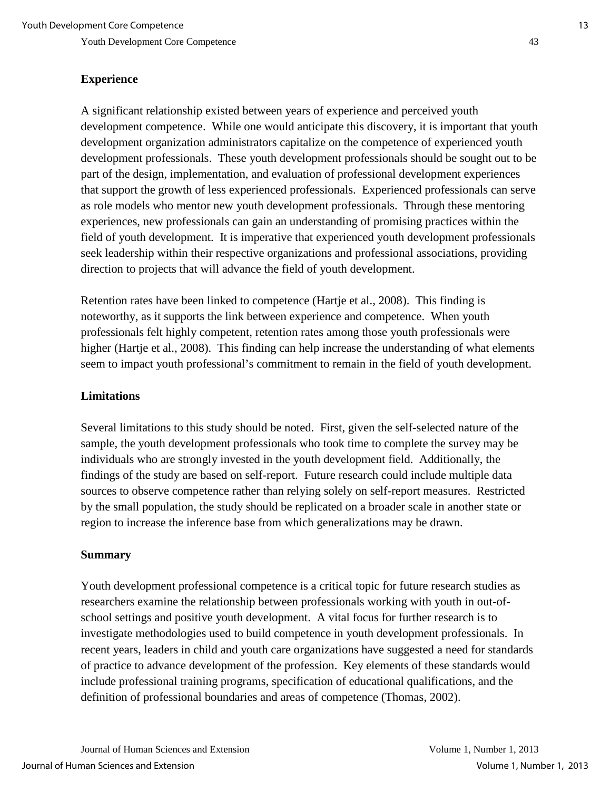#### **Experience**

A significant relationship existed between years of experience and perceived youth development competence. While one would anticipate this discovery, it is important that youth development organization administrators capitalize on the competence of experienced youth development professionals. These youth development professionals should be sought out to be part of the design, implementation, and evaluation of professional development experiences that support the growth of less experienced professionals. Experienced professionals can serve as role models who mentor new youth development professionals. Through these mentoring experiences, new professionals can gain an understanding of promising practices within the field of youth development. It is imperative that experienced youth development professionals seek leadership within their respective organizations and professional associations, providing direction to projects that will advance the field of youth development.

Retention rates have been linked to competence (Hartje et al., 2008). This finding is noteworthy, as it supports the link between experience and competence. When youth professionals felt highly competent, retention rates among those youth professionals were higher (Hartje et al., 2008). This finding can help increase the understanding of what elements seem to impact youth professional's commitment to remain in the field of youth development.

#### **Limitations**

Several limitations to this study should be noted. First, given the self-selected nature of the sample, the youth development professionals who took time to complete the survey may be individuals who are strongly invested in the youth development field. Additionally, the findings of the study are based on self-report. Future research could include multiple data sources to observe competence rather than relying solely on self-report measures. Restricted by the small population, the study should be replicated on a broader scale in another state or region to increase the inference base from which generalizations may be drawn.

#### **Summary**

Youth development professional competence is a critical topic for future research studies as researchers examine the relationship between professionals working with youth in out-ofschool settings and positive youth development. A vital focus for further research is to investigate methodologies used to build competence in youth development professionals. In recent years, leaders in child and youth care organizations have suggested a need for standards of practice to advance development of the profession. Key elements of these standards would include professional training programs, specification of educational qualifications, and the definition of professional boundaries and areas of competence (Thomas, 2002).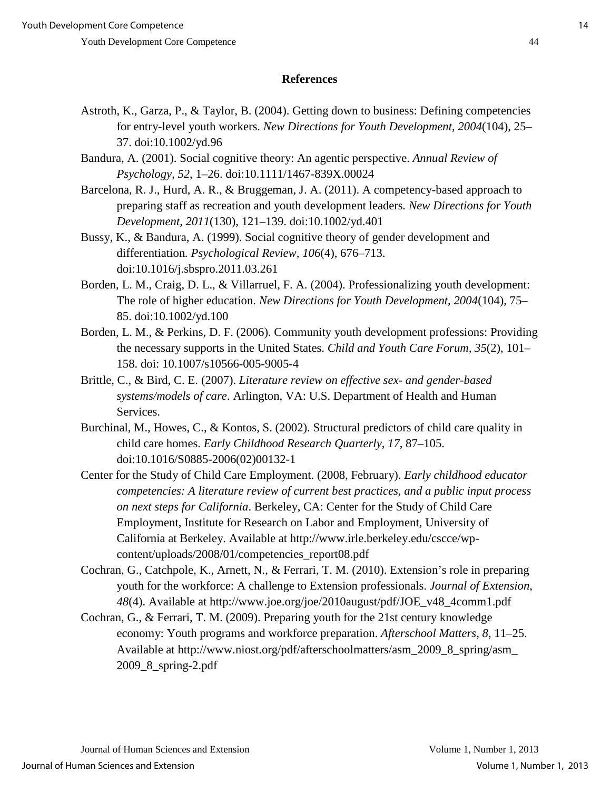#### **References**

- Astroth, K., Garza, P., & Taylor, B. (2004). Getting down to business: Defining competencies for entry-level youth workers. *New Directions for Youth Development, 2004*(104), 25– 37. doi:10.1002/yd.96
- Bandura, A. (2001). Social cognitive theory: An agentic perspective. *Annual Review of Psychology, 52*, 1–26. doi:10.1111/1467-839X.00024
- Barcelona, R. J., Hurd, A. R., & Bruggeman, J. A. (2011). A competency-based approach to preparing staff as recreation and youth development leaders*. New Directions for Youth Development, 2011*(130), 121–139. doi:10.1002/yd.401
- Bussy, K., & Bandura, A. (1999). Social cognitive theory of gender development and differentiation*. Psychological Review, 106*(4), 676–713. doi:10.1016/j.sbspro.2011.03.261
- Borden, L. M., Craig, D. L., & Villarruel, F. A. (2004). Professionalizing youth development: The role of higher education. *New Directions for Youth Development, 2004*(104), 75– 85. doi:10.1002/yd.100
- Borden, L. M., & Perkins, D. F. (2006). Community youth development professions: Providing the necessary supports in the United States. *Child and Youth Care Forum, 35*(2), 101– 158. doi: 10.1007/s10566-005-9005-4
- Brittle, C., & Bird, C. E. (2007). *Literature review on effective sex- and gender-based systems/models of care*. Arlington, VA: U.S. Department of Health and Human Services.
- Burchinal, M., Howes, C., & Kontos, S. (2002). Structural predictors of child care quality in child care homes. *Early Childhood Research Quarterly*, *17*, 87–105. doi:10.1016/S0885-2006(02)00132-1
- Center for the Study of Child Care Employment. (2008, February). *Early childhood educator competencies: A literature review of current best practices, and a public input process on next steps for California*. Berkeley, CA: Center for the Study of Child Care Employment, Institute for Research on Labor and Employment, University of California at Berkeley. Available at http://www.irle.berkeley.edu/cscce/wpcontent/uploads/2008/01/competencies\_report08.pdf
- Cochran, G., Catchpole, K., Arnett, N., & Ferrari, T. M. (2010). Extension's role in preparing youth for the workforce: A challenge to Extension professionals. *Journal of Extension*, *48*(4). Available at http://www.joe.org/joe/2010august/pdf/JOE\_v48\_4comm1.pdf
- Cochran, G., & Ferrari, T. M. (2009). Preparing youth for the 21st century knowledge economy: Youth programs and workforce preparation. *Afterschool Matters*, *8*, 11–25. Available at http://www.niost.org/pdf/afterschoolmatters/asm\_2009\_8\_spring/asm\_ 2009\_8\_spring-2.pdf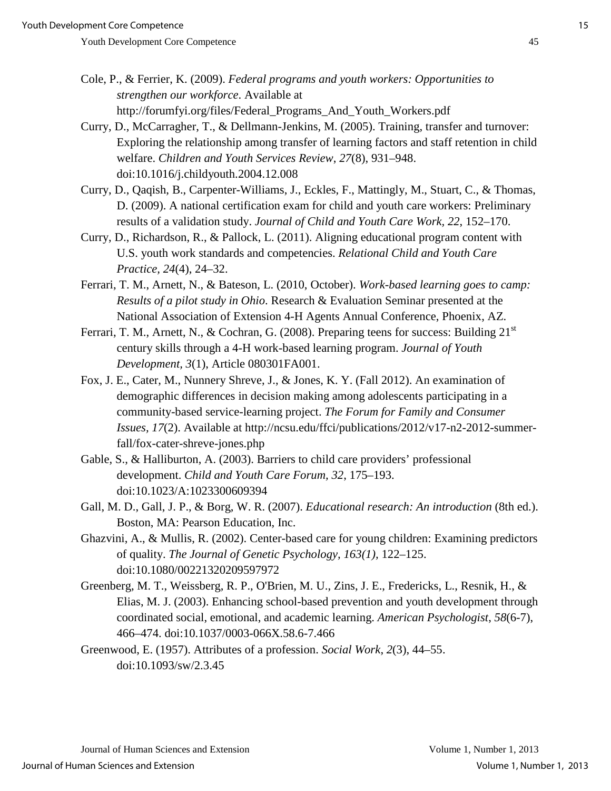- Cole, P., & Ferrier, K. (2009). *Federal programs and youth workers: Opportunities to strengthen our workforce*. Available at http://forumfyi.org/files/Federal\_Programs\_And\_Youth\_Workers.pdf
- Curry, D., McCarragher, T., & Dellmann-Jenkins, M. (2005). Training, transfer and turnover: Exploring the relationship among transfer of learning factors and staff retention in child welfare. *Children and Youth Services Review*, *27*(8), 931–948. doi:10.1016/j.childyouth.2004.12.008
- Curry, D., Qaqish, B., Carpenter-Williams, J., Eckles, F., Mattingly, M., Stuart, C., & Thomas, D. (2009). A national certification exam for child and youth care workers: Preliminary results of a validation study. *Journal of Child and Youth Care Work, 22*, 152–170.
- Curry, D., Richardson, R., & Pallock, L. (2011). Aligning educational program content with U.S. youth work standards and competencies. *Relational Child and Youth Care Practice, 24*(4), 24–32.
- Ferrari, T. M., Arnett, N., & Bateson, L. (2010, October). *Work-based learning goes to camp: Results of a pilot study in Ohio*. Research & Evaluation Seminar presented at the National Association of Extension 4-H Agents Annual Conference, Phoenix, AZ.
- Ferrari, T. M., Arnett, N., & Cochran, G. (2008). Preparing teens for success: Building 21<sup>st</sup> century skills through a 4-H work-based learning program. *Journal of Youth Development, 3*(1), Article 080301FA001.
- Fox, J. E., Cater, M., Nunnery Shreve, J., & Jones, K. Y. (Fall 2012). An examination of demographic differences in decision making among adolescents participating in a community-based service-learning project. *The Forum for Family and Consumer Issues, 17*(2). Available at http://ncsu.edu/ffci/publications/2012/v17-n2-2012-summerfall/fox-cater-shreve-jones.php
- Gable, S., & Halliburton, A. (2003). Barriers to child care providers' professional development. *Child and Youth Care Forum, 32*, 175–193. doi:10.1023/A:1023300609394
- Gall, M. D., Gall, J. P., & Borg, W. R. (2007). *Educational research: An introduction* (8th ed.). Boston, MA: Pearson Education, Inc.
- Ghazvini, A., & Mullis, R. (2002). Center-based care for young children: Examining predictors of quality. *The Journal of Genetic Psychology, 163(1),* 122–125. doi:10.1080/00221320209597972
- Greenberg, M. T., Weissberg, R. P., O'Brien, M. U., Zins, J. E., Fredericks, L., Resnik, H., & Elias, M. J. (2003). Enhancing school-based prevention and youth development through coordinated social, emotional, and academic learning. *American Psychologist*, *58*(6-7), 466–474. doi:10.1037/0003-066X.58.6-7.466
- Greenwood, E. (1957). Attributes of a profession. *Social Work*, *2*(3), 44–55. doi:10.1093/sw/2.3.45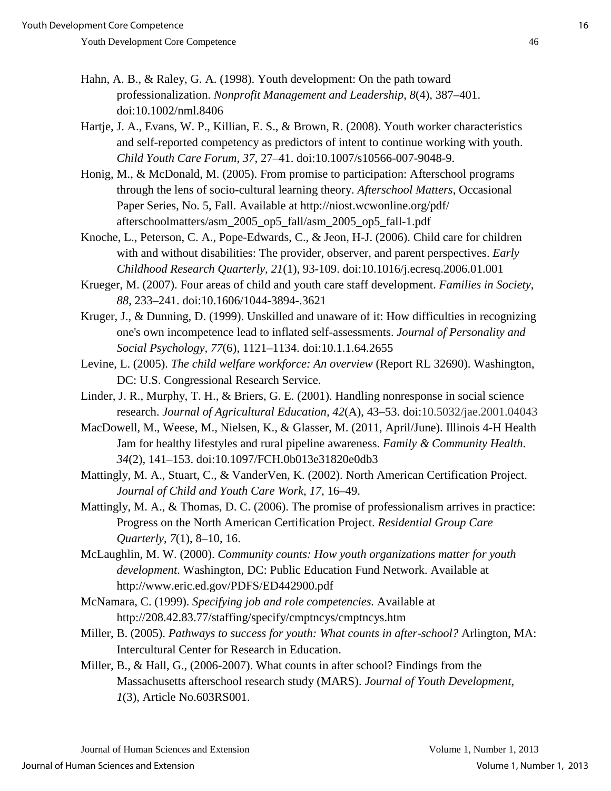- Hahn, A. B., & Raley, G. A. (1998). Youth development: On the path toward professionalization. *Nonprofit Management and Leadership*, *8*(4), 387–401. doi:10.1002/nml.8406
- Hartje, J. A., Evans, W. P., Killian, E. S., & Brown, R. (2008). Youth worker characteristics and self-reported competency as predictors of intent to continue working with youth. *Child Youth Care Forum, 37*, 27–41. doi:10.1007/s10566-007-9048-9.
- Honig, M., & McDonald, M. (2005). From promise to participation: Afterschool programs through the lens of socio-cultural learning theory. *Afterschool Matters*, Occasional Paper Series, No. 5, Fall. Available at http://niost.wcwonline.org/pdf/ afterschoolmatters/asm\_2005\_op5\_fall/asm\_2005\_op5\_fall-1.pdf
- Knoche, L., Peterson, C. A., Pope-Edwards, C., & Jeon, H-J. (2006). Child care for children with and without disabilities: The provider, observer, and parent perspectives. *Early Childhood Research Quarterly*, *21*(1), 93-109. doi:10.1016/j.ecresq.2006.01.001
- Krueger, M. (2007). Four areas of child and youth care staff development. *Families in Society*, *88*, 233–241. doi:10.1606/1044-3894-.3621
- Kruger, J., & Dunning, D. (1999). Unskilled and unaware of it: How difficulties in recognizing one's own incompetence lead to inflated self-assessments. *Journal of Personality and Social Psychology, 77*(6), 1121–1134. doi:10.1.1.64.2655
- Levine, L. (2005). *The child welfare workforce: An overview* (Report RL 32690). Washington, DC: U.S. Congressional Research Service.
- Linder, J. R., Murphy, T. H., & Briers, G. E. (2001). Handling nonresponse in social science research. *Journal of Agricultural Education, 42*(A), 43–53. doi:10.5032/jae.2001.04043
- MacDowell, M., Weese, M., Nielsen, K., & Glasser, M. (2011, April/June). Illinois 4-H Health Jam for healthy lifestyles and rural pipeline awareness. *Family & Community Health*. *34*(2), 141–153. doi:10.1097/FCH.0b013e31820e0db3
- Mattingly, M. A., Stuart, C., & VanderVen, K. (2002). North American Certification Project. *Journal of Child and Youth Care Work*, *17*, 16–49.
- Mattingly, M. A., & Thomas, D. C. (2006). The promise of professionalism arrives in practice: Progress on the North American Certification Project. *Residential Group Care Quarterly*, *7*(1), 8–10, 16.
- McLaughlin, M. W. (2000). *Community counts: How youth organizations matter for youth development*. Washington, DC: Public Education Fund Network. Available at http://www.eric.ed.gov/PDFS/ED442900.pdf
- McNamara, C. (1999). *Specifying job and role competencies.* Available at http://208.42.83.77/staffing/specify/cmptncys/cmptncys.htm
- Miller, B. (2005). *Pathways to success for youth: What counts in after-school?* Arlington, MA: Intercultural Center for Research in Education.
- Miller, B., & Hall, G., (2006-2007). What counts in after school? Findings from the Massachusetts afterschool research study (MARS). *Journal of Youth Development*, *1*(3), Article No.603RS001.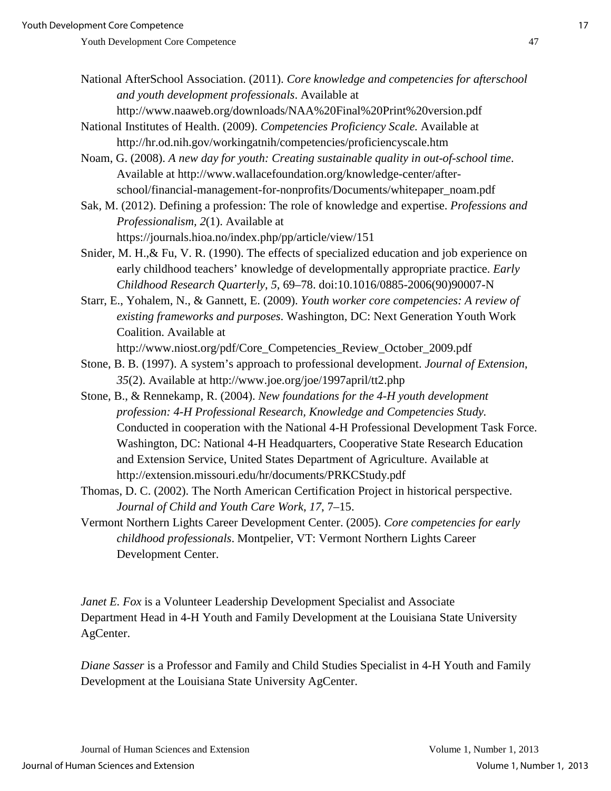National AfterSchool Association. (2011). *Core knowledge and competencies for afterschool and youth development professionals*. Available at

http://www.naaweb.org/downloads/NAA%20Final%20Print%20version.pdf

National Institutes of Health. (2009). *Competencies Proficiency Scale.* Available at http://hr.od.nih.gov/workingatnih/competencies/proficiencyscale.htm

Noam, G. (2008). *A new day for youth: Creating sustainable quality in out-of-school time*. Available at http://www.wallacefoundation.org/knowledge-center/afterschool/financial-management-for-nonprofits/Documents/whitepaper\_noam.pdf

Sak, M. (2012). Defining a profession: The role of knowledge and expertise. *Professions and Professionalism, 2*(1). Available at https://journals.hioa.no/index.php/pp/article/view/151

Snider, M. H.,& Fu, V. R. (1990). The effects of specialized education and job experience on early childhood teachers' knowledge of developmentally appropriate practice. *Early Childhood Research Quarterly*, *5*, 69–78. doi:10.1016/0885-2006(90)90007-N

Starr, E., Yohalem, N., & Gannett, E. (2009). *Youth worker core competencies: A review of existing frameworks and purposes*. Washington, DC: Next Generation Youth Work Coalition. Available at

http://www.niost.org/pdf/Core\_Competencies\_Review\_October\_2009.pdf

Stone, B. B. (1997). A system's approach to professional development. *Journal of Extension*, *35*(2). Available at http://www.joe.org/joe/1997april/tt2.php

Stone, B., & Rennekamp, R. (2004). *New foundations for the 4-H youth development profession: 4-H Professional Research, Knowledge and Competencies Study.*  Conducted in cooperation with the National 4-H Professional Development Task Force. Washington, DC: National 4-H Headquarters, Cooperative State Research Education and Extension Service, United States Department of Agriculture. Available at http://extension.missouri.edu/hr/documents/PRKCStudy.pdf

Thomas, D. C. (2002). The North American Certification Project in historical perspective. *Journal of Child and Youth Care Work*, *17*, 7–15.

Vermont Northern Lights Career Development Center. (2005). *Core competencies for early childhood professionals*. Montpelier, VT: Vermont Northern Lights Career Development Center.

*Janet E. Fox* is a Volunteer Leadership Development Specialist and Associate Department Head in 4-H Youth and Family Development at the Louisiana State University AgCenter.

*Diane Sasser* is a Professor and Family and Child Studies Specialist in 4-H Youth and Family Development at the Louisiana State University AgCenter.